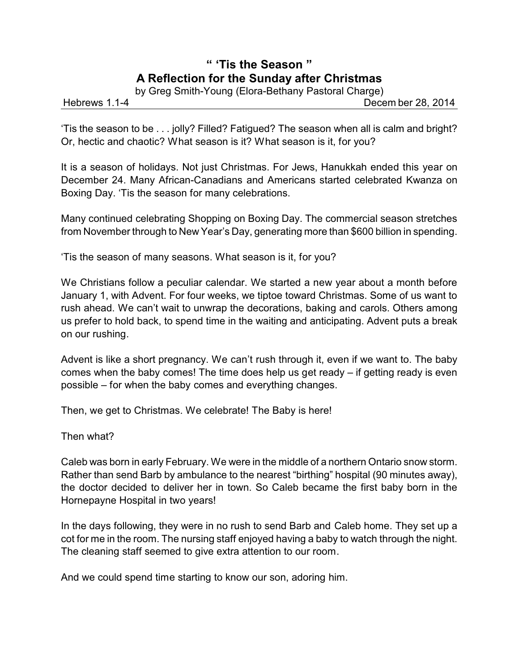## **" 'Tis the Season " A Reflection for the Sunday after Christmas**

by Greg Smith-Young (Elora-Bethany Pastoral Charge)

Hebrews 1.1-4 Decem ber 28, 2014

'Tis the season to be . . . jolly? Filled? Fatigued? The season when all is calm and bright? Or, hectic and chaotic? What season is it? What season is it, for you?

It is a season of holidays. Not just Christmas. For Jews, Hanukkah ended this year on December 24. Many African-Canadians and Americans started celebrated Kwanza on Boxing Day. 'Tis the season for many celebrations.

Many continued celebrating Shopping on Boxing Day. The commercial season stretches from November through to New Year's Day, generating more than \$600 billion in spending.

'Tis the season of many seasons. What season is it, for you?

We Christians follow a peculiar calendar. We started a new year about a month before January 1, with Advent. For four weeks, we tiptoe toward Christmas. Some of us want to rush ahead. We can't wait to unwrap the decorations, baking and carols. Others among us prefer to hold back, to spend time in the waiting and anticipating. Advent puts a break on our rushing.

Advent is like a short pregnancy. We can't rush through it, even if we want to. The baby comes when the baby comes! The time does help us get ready – if getting ready is even possible – for when the baby comes and everything changes.

Then, we get to Christmas. We celebrate! The Baby is here!

Then what?

Caleb was born in early February. We were in the middle of a northern Ontario snow storm. Rather than send Barb by ambulance to the nearest "birthing" hospital (90 minutes away), the doctor decided to deliver her in town. So Caleb became the first baby born in the Hornepayne Hospital in two years!

In the days following, they were in no rush to send Barb and Caleb home. They set up a cot for me in the room. The nursing staff enjoyed having a baby to watch through the night. The cleaning staff seemed to give extra attention to our room.

And we could spend time starting to know our son, adoring him.